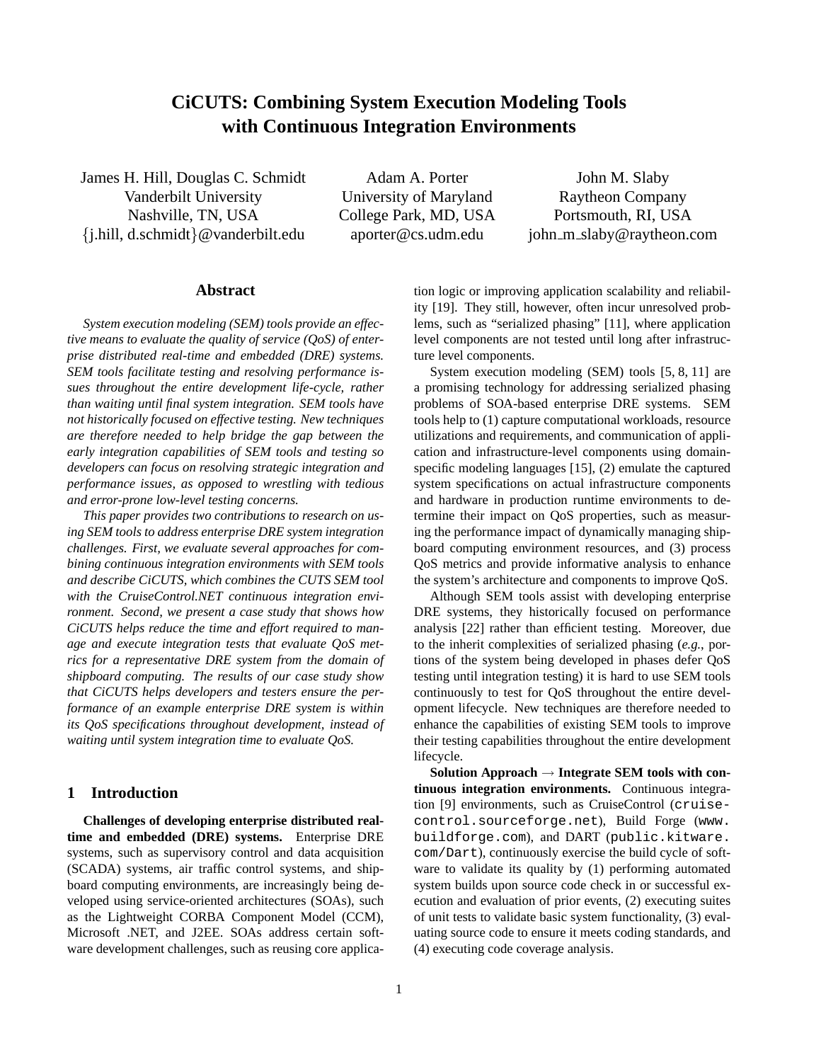# **CiCUTS: Combining System Execution Modeling Tools with Continuous Integration Environments**

James H. Hill, Douglas C. Schmidt Vanderbilt University Nashville, TN, USA {j.hill, d.schmidt}@vanderbilt.edu

Adam A. Porter University of Maryland College Park, MD, USA aporter@cs.udm.edu

John M. Slaby Raytheon Company Portsmouth, RI, USA john m slaby@raytheon.com

## **Abstract**

*System execution modeling (SEM) tools provide an effective means to evaluate the quality of service (QoS) of enterprise distributed real-time and embedded (DRE) systems. SEM tools facilitate testing and resolving performance issues throughout the entire development life-cycle, rather than waiting until final system integration. SEM tools have not historically focused on effective testing. New techniques are therefore needed to help bridge the gap between the early integration capabilities of SEM tools and testing so developers can focus on resolving strategic integration and performance issues, as opposed to wrestling with tedious and error-prone low-level testing concerns.*

*This paper provides two contributions to research on using SEM tools to address enterprise DRE system integration challenges. First, we evaluate several approaches for combining continuous integration environments with SEM tools and describe CiCUTS, which combines the CUTS SEM tool with the CruiseControl.NET continuous integration environment. Second, we present a case study that shows how CiCUTS helps reduce the time and effort required to manage and execute integration tests that evaluate QoS metrics for a representative DRE system from the domain of shipboard computing. The results of our case study show that CiCUTS helps developers and testers ensure the performance of an example enterprise DRE system is within its QoS specifications throughout development, instead of waiting until system integration time to evaluate QoS.*

## **1 Introduction**

**Challenges of developing enterprise distributed realtime and embedded (DRE) systems.** Enterprise DRE systems, such as supervisory control and data acquisition (SCADA) systems, air traffic control systems, and shipboard computing environments, are increasingly being developed using service-oriented architectures (SOAs), such as the Lightweight CORBA Component Model (CCM), Microsoft .NET, and J2EE. SOAs address certain software development challenges, such as reusing core application logic or improving application scalability and reliability [19]. They still, however, often incur unresolved problems, such as "serialized phasing" [11], where application level components are not tested until long after infrastructure level components.

System execution modeling (SEM) tools [5, 8, 11] are a promising technology for addressing serialized phasing problems of SOA-based enterprise DRE systems. SEM tools help to (1) capture computational workloads, resource utilizations and requirements, and communication of application and infrastructure-level components using domainspecific modeling languages [15], (2) emulate the captured system specifications on actual infrastructure components and hardware in production runtime environments to determine their impact on QoS properties, such as measuring the performance impact of dynamically managing shipboard computing environment resources, and (3) process QoS metrics and provide informative analysis to enhance the system's architecture and components to improve QoS.

Although SEM tools assist with developing enterprise DRE systems, they historically focused on performance analysis [22] rather than efficient testing. Moreover, due to the inherit complexities of serialized phasing (*e.g.*, portions of the system being developed in phases defer QoS testing until integration testing) it is hard to use SEM tools continuously to test for QoS throughout the entire development lifecycle. New techniques are therefore needed to enhance the capabilities of existing SEM tools to improve their testing capabilities throughout the entire development lifecycle.

**Solution Approach** → **Integrate SEM tools with continuous integration environments.** Continuous integration [9] environments, such as CruiseControl (cruisecontrol.sourceforge.net), Build Forge (www. buildforge.com), and DART (public.kitware. com/Dart), continuously exercise the build cycle of software to validate its quality by (1) performing automated system builds upon source code check in or successful execution and evaluation of prior events, (2) executing suites of unit tests to validate basic system functionality, (3) evaluating source code to ensure it meets coding standards, and (4) executing code coverage analysis.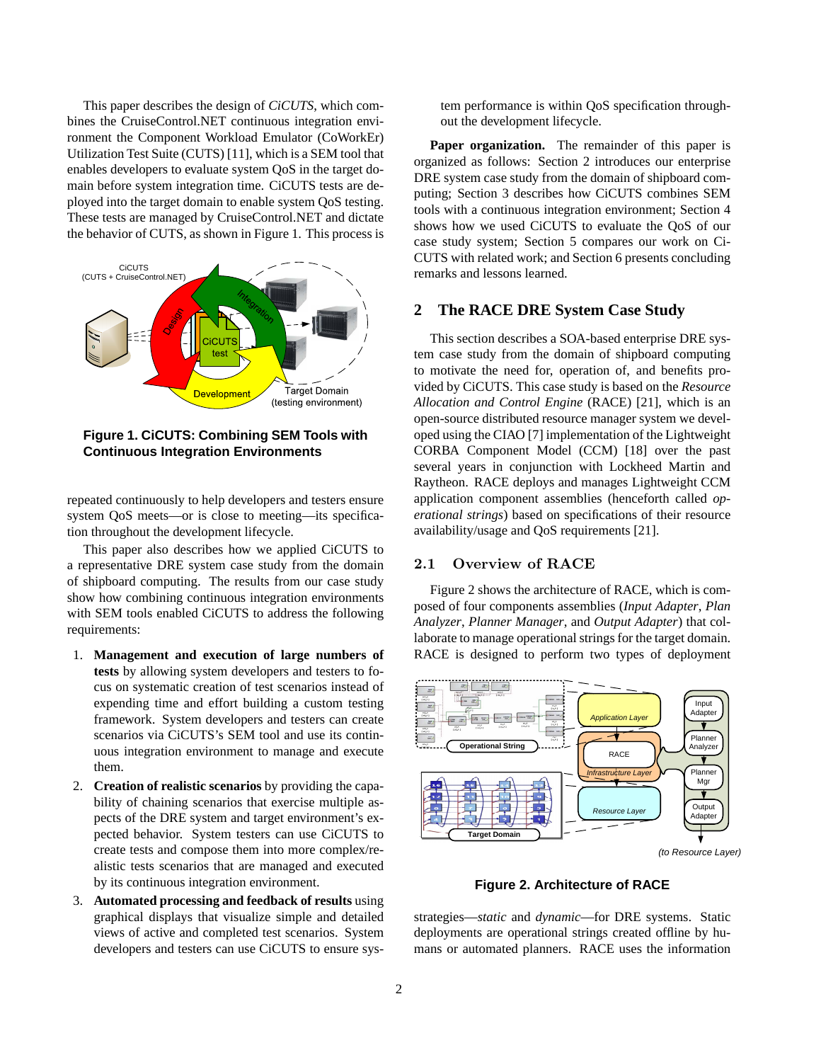This paper describes the design of *CiCUTS*, which combines the CruiseControl.NET continuous integration environment the Component Workload Emulator (CoWorkEr) Utilization Test Suite (CUTS) [11], which is a SEM tool that enables developers to evaluate system QoS in the target domain before system integration time. CiCUTS tests are deployed into the target domain to enable system QoS testing. These tests are managed by CruiseControl.NET and dictate the behavior of CUTS, as shown in Figure 1. This process is



**Figure 1. CiCUTS: Combining SEM Tools with Continuous Integration Environments**

repeated continuously to help developers and testers ensure system QoS meets—or is close to meeting—its specification throughout the development lifecycle.

This paper also describes how we applied CiCUTS to a representative DRE system case study from the domain of shipboard computing. The results from our case study show how combining continuous integration environments with SEM tools enabled CiCUTS to address the following requirements:

- 1. **Management and execution of large numbers of tests** by allowing system developers and testers to focus on systematic creation of test scenarios instead of expending time and effort building a custom testing framework. System developers and testers can create scenarios via CiCUTS's SEM tool and use its continuous integration environment to manage and execute them.
- 2. **Creation of realistic scenarios** by providing the capability of chaining scenarios that exercise multiple aspects of the DRE system and target environment's expected behavior. System testers can use CiCUTS to create tests and compose them into more complex/realistic tests scenarios that are managed and executed by its continuous integration environment.
- 3. **Automated processing and feedback of results** using graphical displays that visualize simple and detailed views of active and completed test scenarios. System developers and testers can use CiCUTS to ensure sys-

tem performance is within QoS specification throughout the development lifecycle.

**Paper organization.** The remainder of this paper is organized as follows: Section 2 introduces our enterprise DRE system case study from the domain of shipboard computing; Section 3 describes how CiCUTS combines SEM tools with a continuous integration environment; Section 4 shows how we used CiCUTS to evaluate the QoS of our case study system; Section 5 compares our work on Ci-CUTS with related work; and Section 6 presents concluding remarks and lessons learned.

## **2 The RACE DRE System Case Study**

This section describes a SOA-based enterprise DRE system case study from the domain of shipboard computing to motivate the need for, operation of, and benefits provided by CiCUTS. This case study is based on the *Resource Allocation and Control Engine* (RACE) [21], which is an open-source distributed resource manager system we developed using the CIAO [7] implementation of the Lightweight CORBA Component Model (CCM) [18] over the past several years in conjunction with Lockheed Martin and Raytheon. RACE deploys and manages Lightweight CCM application component assemblies (henceforth called *operational strings*) based on specifications of their resource availability/usage and QoS requirements [21].

## 2.1 Overview of RACE

Figure 2 shows the architecture of RACE, which is composed of four components assemblies (*Input Adapter*, *Plan Analyzer*, *Planner Manager*, and *Output Adapter*) that collaborate to manage operational strings for the target domain. RACE is designed to perform two types of deployment



# **Figure 2. Architecture of RACE**

strategies—*static* and *dynamic*—for DRE systems. Static deployments are operational strings created offline by humans or automated planners. RACE uses the information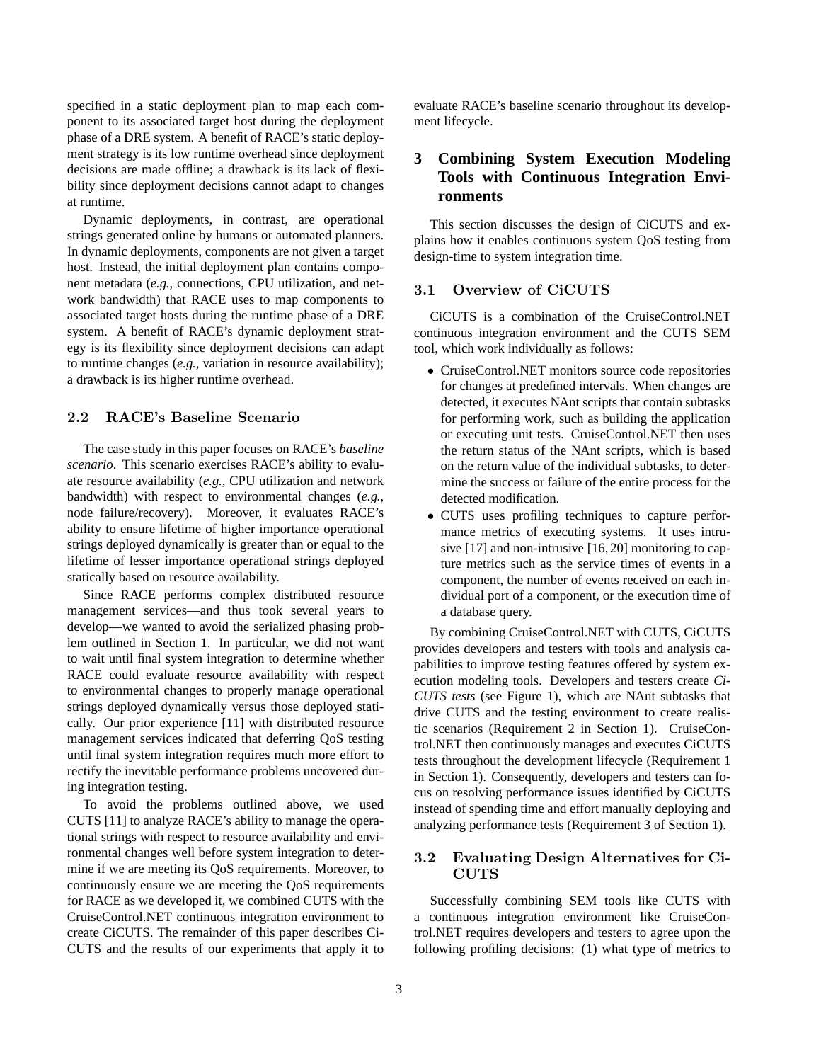specified in a static deployment plan to map each component to its associated target host during the deployment phase of a DRE system. A benefit of RACE's static deployment strategy is its low runtime overhead since deployment decisions are made offline; a drawback is its lack of flexibility since deployment decisions cannot adapt to changes at runtime.

Dynamic deployments, in contrast, are operational strings generated online by humans or automated planners. In dynamic deployments, components are not given a target host. Instead, the initial deployment plan contains component metadata (*e.g.*, connections, CPU utilization, and network bandwidth) that RACE uses to map components to associated target hosts during the runtime phase of a DRE system. A benefit of RACE's dynamic deployment strategy is its flexibility since deployment decisions can adapt to runtime changes (*e.g.*, variation in resource availability); a drawback is its higher runtime overhead.

#### 2.2 RACE's Baseline Scenario

The case study in this paper focuses on RACE's *baseline scenario*. This scenario exercises RACE's ability to evaluate resource availability (*e.g.*, CPU utilization and network bandwidth) with respect to environmental changes (*e.g.*, node failure/recovery). Moreover, it evaluates RACE's ability to ensure lifetime of higher importance operational strings deployed dynamically is greater than or equal to the lifetime of lesser importance operational strings deployed statically based on resource availability.

Since RACE performs complex distributed resource management services—and thus took several years to develop—we wanted to avoid the serialized phasing problem outlined in Section 1. In particular, we did not want to wait until final system integration to determine whether RACE could evaluate resource availability with respect to environmental changes to properly manage operational strings deployed dynamically versus those deployed statically. Our prior experience [11] with distributed resource management services indicated that deferring QoS testing until final system integration requires much more effort to rectify the inevitable performance problems uncovered during integration testing.

To avoid the problems outlined above, we used CUTS [11] to analyze RACE's ability to manage the operational strings with respect to resource availability and environmental changes well before system integration to determine if we are meeting its QoS requirements. Moreover, to continuously ensure we are meeting the QoS requirements for RACE as we developed it, we combined CUTS with the CruiseControl.NET continuous integration environment to create CiCUTS. The remainder of this paper describes Ci-CUTS and the results of our experiments that apply it to evaluate RACE's baseline scenario throughout its development lifecycle.

## **3 Combining System Execution Modeling Tools with Continuous Integration Environments**

This section discusses the design of CiCUTS and explains how it enables continuous system QoS testing from design-time to system integration time.

#### 3.1 Overview of CiCUTS

CiCUTS is a combination of the CruiseControl.NET continuous integration environment and the CUTS SEM tool, which work individually as follows:

- CruiseControl.NET monitors source code repositories for changes at predefined intervals. When changes are detected, it executes NAnt scripts that contain subtasks for performing work, such as building the application or executing unit tests. CruiseControl.NET then uses the return status of the NAnt scripts, which is based on the return value of the individual subtasks, to determine the success or failure of the entire process for the detected modification.
- CUTS uses profiling techniques to capture performance metrics of executing systems. It uses intrusive [17] and non-intrusive [16, 20] monitoring to capture metrics such as the service times of events in a component, the number of events received on each individual port of a component, or the execution time of a database query.

By combining CruiseControl.NET with CUTS, CiCUTS provides developers and testers with tools and analysis capabilities to improve testing features offered by system execution modeling tools. Developers and testers create *Ci-CUTS tests* (see Figure 1), which are NAnt subtasks that drive CUTS and the testing environment to create realistic scenarios (Requirement 2 in Section 1). CruiseControl.NET then continuously manages and executes CiCUTS tests throughout the development lifecycle (Requirement 1 in Section 1). Consequently, developers and testers can focus on resolving performance issues identified by CiCUTS instead of spending time and effort manually deploying and analyzing performance tests (Requirement 3 of Section 1).

## 3.2 Evaluating Design Alternatives for Ci- $_{\rm CUTS}$

Successfully combining SEM tools like CUTS with a continuous integration environment like CruiseControl.NET requires developers and testers to agree upon the following profiling decisions: (1) what type of metrics to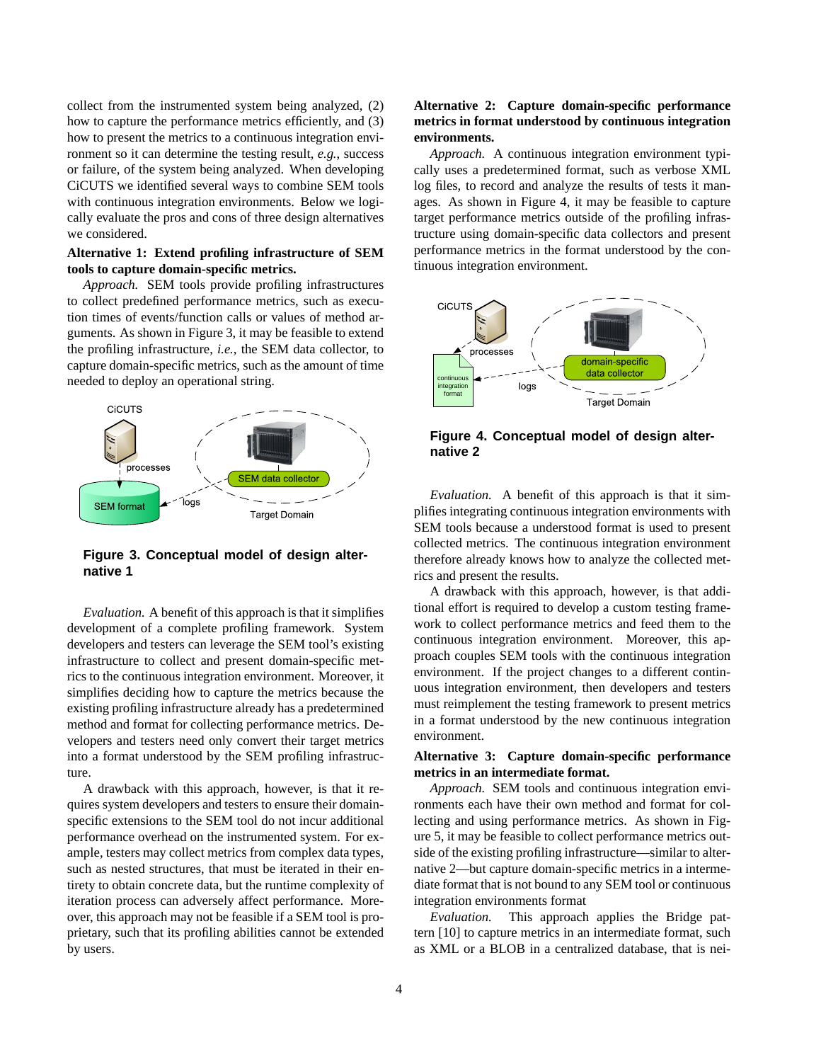collect from the instrumented system being analyzed, (2) how to capture the performance metrics efficiently, and (3) how to present the metrics to a continuous integration environment so it can determine the testing result, *e.g.*, success or failure, of the system being analyzed. When developing CiCUTS we identified several ways to combine SEM tools with continuous integration environments. Below we logically evaluate the pros and cons of three design alternatives we considered.

## **Alternative 1: Extend profiling infrastructure of SEM tools to capture domain-specific metrics.**

*Approach.* SEM tools provide profiling infrastructures to collect predefined performance metrics, such as execution times of events/function calls or values of method arguments. As shown in Figure 3, it may be feasible to extend the profiling infrastructure, *i.e.*, the SEM data collector, to capture domain-specific metrics, such as the amount of time needed to deploy an operational string.



### **Figure 3. Conceptual model of design alternative 1**

*Evaluation.* A benefit of this approach is that it simplifies development of a complete profiling framework. System developers and testers can leverage the SEM tool's existing infrastructure to collect and present domain-specific metrics to the continuous integration environment. Moreover, it simplifies deciding how to capture the metrics because the existing profiling infrastructure already has a predetermined method and format for collecting performance metrics. Developers and testers need only convert their target metrics into a format understood by the SEM profiling infrastructure.

A drawback with this approach, however, is that it requires system developers and testers to ensure their domainspecific extensions to the SEM tool do not incur additional performance overhead on the instrumented system. For example, testers may collect metrics from complex data types, such as nested structures, that must be iterated in their entirety to obtain concrete data, but the runtime complexity of iteration process can adversely affect performance. Moreover, this approach may not be feasible if a SEM tool is proprietary, such that its profiling abilities cannot be extended by users.

## **Alternative 2: Capture domain-specific performance metrics in format understood by continuous integration environments.**

*Approach.* A continuous integration environment typically uses a predetermined format, such as verbose XML log files, to record and analyze the results of tests it manages. As shown in Figure 4, it may be feasible to capture target performance metrics outside of the profiling infrastructure using domain-specific data collectors and present performance metrics in the format understood by the continuous integration environment.



**Figure 4. Conceptual model of design alternative 2**

*Evaluation.* A benefit of this approach is that it simplifies integrating continuous integration environments with SEM tools because a understood format is used to present collected metrics. The continuous integration environment therefore already knows how to analyze the collected metrics and present the results.

A drawback with this approach, however, is that additional effort is required to develop a custom testing framework to collect performance metrics and feed them to the continuous integration environment. Moreover, this approach couples SEM tools with the continuous integration environment. If the project changes to a different continuous integration environment, then developers and testers must reimplement the testing framework to present metrics in a format understood by the new continuous integration environment.

## **Alternative 3: Capture domain-specific performance metrics in an intermediate format.**

*Approach.* SEM tools and continuous integration environments each have their own method and format for collecting and using performance metrics. As shown in Figure 5, it may be feasible to collect performance metrics outside of the existing profiling infrastructure—similar to alternative 2—but capture domain-specific metrics in a intermediate format that is not bound to any SEM tool or continuous integration environments format

*Evaluation.* This approach applies the Bridge pattern [10] to capture metrics in an intermediate format, such as XML or a BLOB in a centralized database, that is nei-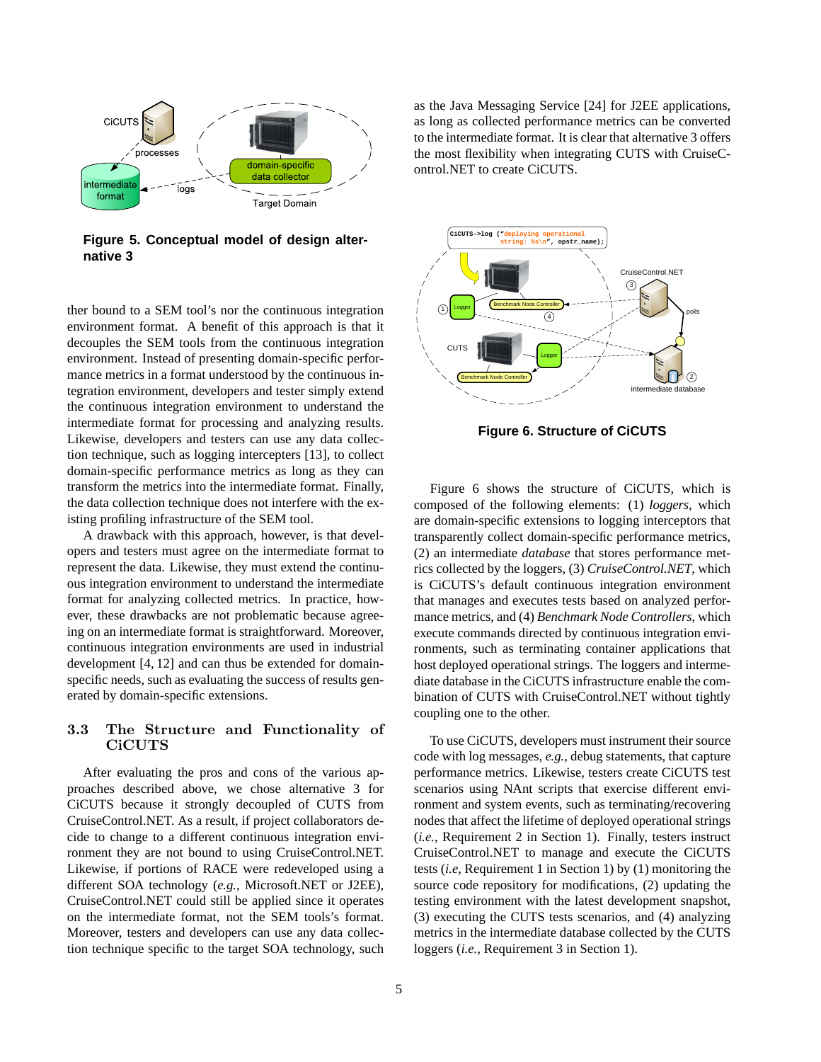

**Figure 5. Conceptual model of design alternative 3**

ther bound to a SEM tool's nor the continuous integration environment format. A benefit of this approach is that it decouples the SEM tools from the continuous integration environment. Instead of presenting domain-specific performance metrics in a format understood by the continuous integration environment, developers and tester simply extend the continuous integration environment to understand the intermediate format for processing and analyzing results. Likewise, developers and testers can use any data collection technique, such as logging intercepters [13], to collect domain-specific performance metrics as long as they can transform the metrics into the intermediate format. Finally, the data collection technique does not interfere with the existing profiling infrastructure of the SEM tool.

A drawback with this approach, however, is that developers and testers must agree on the intermediate format to represent the data. Likewise, they must extend the continuous integration environment to understand the intermediate format for analyzing collected metrics. In practice, however, these drawbacks are not problematic because agreeing on an intermediate format is straightforward. Moreover, continuous integration environments are used in industrial development [4, 12] and can thus be extended for domainspecific needs, such as evaluating the success of results generated by domain-specific extensions.

## 3.3 The Structure and Functionality of CiCUTS

After evaluating the pros and cons of the various approaches described above, we chose alternative 3 for CiCUTS because it strongly decoupled of CUTS from CruiseControl.NET. As a result, if project collaborators decide to change to a different continuous integration environment they are not bound to using CruiseControl.NET. Likewise, if portions of RACE were redeveloped using a different SOA technology (*e.g.*, Microsoft.NET or J2EE), CruiseControl.NET could still be applied since it operates on the intermediate format, not the SEM tools's format. Moreover, testers and developers can use any data collection technique specific to the target SOA technology, such as the Java Messaging Service [24] for J2EE applications, as long as collected performance metrics can be converted to the intermediate format. It is clear that alternative 3 offers the most flexibility when integrating CUTS with CruiseControl.NET to create CiCUTS.



**Figure 6. Structure of CiCUTS**

Figure 6 shows the structure of CiCUTS, which is composed of the following elements: (1) *loggers*, which are domain-specific extensions to logging interceptors that transparently collect domain-specific performance metrics, (2) an intermediate *database* that stores performance metrics collected by the loggers, (3) *CruiseControl.NET*, which is CiCUTS's default continuous integration environment that manages and executes tests based on analyzed performance metrics, and (4) *Benchmark Node Controllers*, which execute commands directed by continuous integration environments, such as terminating container applications that host deployed operational strings. The loggers and intermediate database in the CiCUTS infrastructure enable the combination of CUTS with CruiseControl.NET without tightly coupling one to the other.

To use CiCUTS, developers must instrument their source code with log messages, *e.g.*, debug statements, that capture performance metrics. Likewise, testers create CiCUTS test scenarios using NAnt scripts that exercise different environment and system events, such as terminating/recovering nodes that affect the lifetime of deployed operational strings (*i.e.*, Requirement 2 in Section 1). Finally, testers instruct CruiseControl.NET to manage and execute the CiCUTS tests (*i.e*, Requirement 1 in Section 1) by (1) monitoring the source code repository for modifications, (2) updating the testing environment with the latest development snapshot, (3) executing the CUTS tests scenarios, and (4) analyzing metrics in the intermediate database collected by the CUTS loggers (*i.e.*, Requirement 3 in Section 1).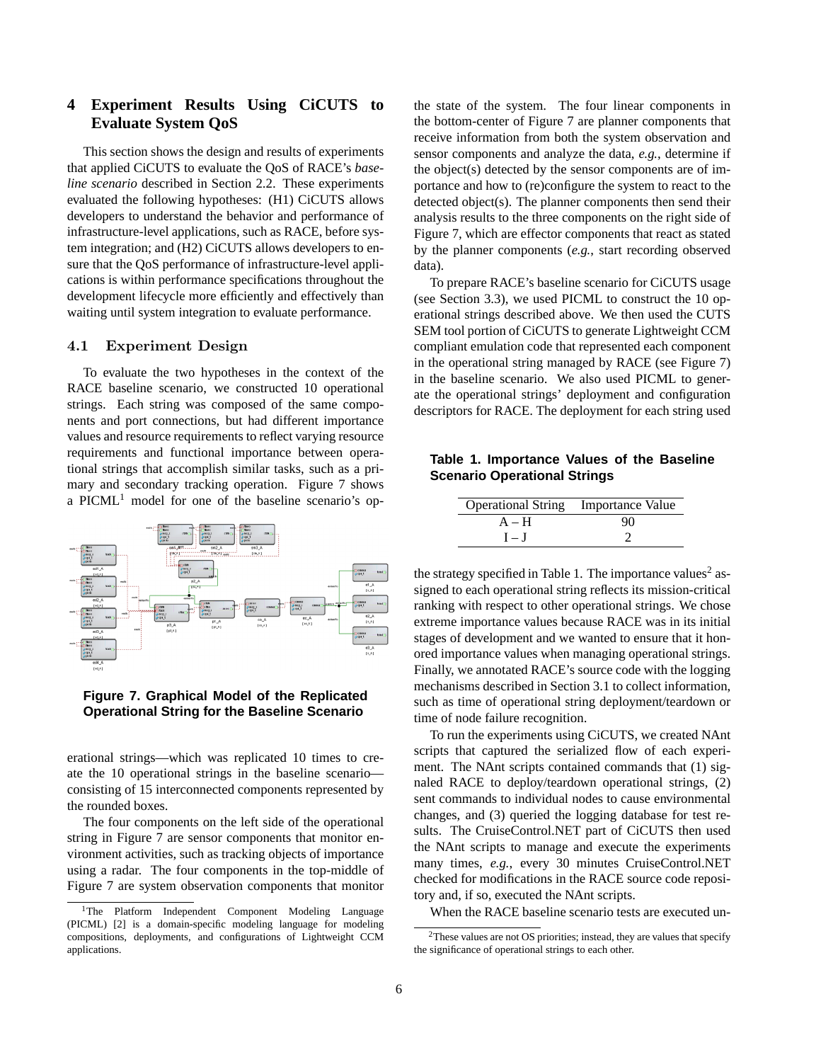## **4 Experiment Results Using CiCUTS to Evaluate System QoS**

This section shows the design and results of experiments that applied CiCUTS to evaluate the QoS of RACE's *baseline scenario* described in Section 2.2. These experiments evaluated the following hypotheses: (H1) CiCUTS allows developers to understand the behavior and performance of infrastructure-level applications, such as RACE, before system integration; and (H2) CiCUTS allows developers to ensure that the QoS performance of infrastructure-level applications is within performance specifications throughout the development lifecycle more efficiently and effectively than waiting until system integration to evaluate performance.

#### 4.1 Experiment Design

To evaluate the two hypotheses in the context of the RACE baseline scenario, we constructed 10 operational strings. Each string was composed of the same components and port connections, but had different importance values and resource requirements to reflect varying resource requirements and functional importance between operational strings that accomplish similar tasks, such as a primary and secondary tracking operation. Figure 7 shows a PICML<sup>1</sup> model for one of the baseline scenario's op-



**Figure 7. Graphical Model of the Replicated Operational String for the Baseline Scenario**

erational strings—which was replicated 10 times to create the 10 operational strings in the baseline scenario consisting of 15 interconnected components represented by the rounded boxes.

The four components on the left side of the operational string in Figure 7 are sensor components that monitor environment activities, such as tracking objects of importance using a radar. The four components in the top-middle of Figure 7 are system observation components that monitor the state of the system. The four linear components in the bottom-center of Figure 7 are planner components that receive information from both the system observation and sensor components and analyze the data, *e.g.*, determine if the object(s) detected by the sensor components are of importance and how to (re)configure the system to react to the detected object(s). The planner components then send their analysis results to the three components on the right side of Figure 7, which are effector components that react as stated by the planner components (*e.g.*, start recording observed data).

To prepare RACE's baseline scenario for CiCUTS usage (see Section 3.3), we used PICML to construct the 10 operational strings described above. We then used the CUTS SEM tool portion of CiCUTS to generate Lightweight CCM compliant emulation code that represented each component in the operational string managed by RACE (see Figure 7) in the baseline scenario. We also used PICML to generate the operational strings' deployment and configuration descriptors for RACE. The deployment for each string used

**Table 1. Importance Values of the Baseline Scenario Operational Strings**

| <b>Operational String</b> Importance Value |    |
|--------------------------------------------|----|
| $A - H$                                    | 90 |
| $I - I$                                    |    |

the strategy specified in Table 1. The importance values<sup>2</sup> assigned to each operational string reflects its mission-critical ranking with respect to other operational strings. We chose extreme importance values because RACE was in its initial stages of development and we wanted to ensure that it honored importance values when managing operational strings. Finally, we annotated RACE's source code with the logging mechanisms described in Section 3.1 to collect information, such as time of operational string deployment/teardown or time of node failure recognition.

To run the experiments using CiCUTS, we created NAnt scripts that captured the serialized flow of each experiment. The NAnt scripts contained commands that (1) signaled RACE to deploy/teardown operational strings, (2) sent commands to individual nodes to cause environmental changes, and (3) queried the logging database for test results. The CruiseControl.NET part of CiCUTS then used the NAnt scripts to manage and execute the experiments many times, *e.g.*, every 30 minutes CruiseControl.NET checked for modifications in the RACE source code repository and, if so, executed the NAnt scripts.

When the RACE baseline scenario tests are executed un-

<sup>&</sup>lt;sup>1</sup>The Platform Independent Component Modeling Language (PICML) [2] is a domain-specific modeling language for modeling compositions, deployments, and configurations of Lightweight CCM applications.

<sup>&</sup>lt;sup>2</sup>These values are not OS priorities; instead, they are values that specify the significance of operational strings to each other.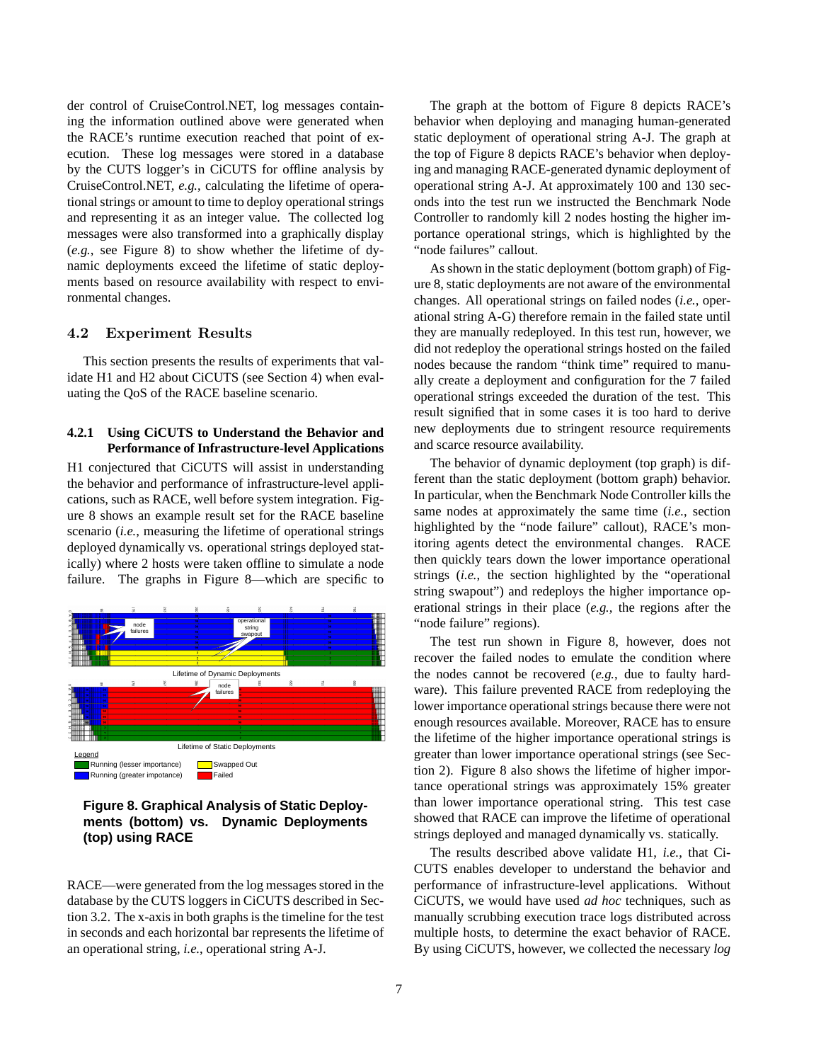der control of CruiseControl.NET, log messages containing the information outlined above were generated when the RACE's runtime execution reached that point of execution. These log messages were stored in a database by the CUTS logger's in CiCUTS for offline analysis by CruiseControl.NET, *e.g.*, calculating the lifetime of operational strings or amount to time to deploy operational strings and representing it as an integer value. The collected log messages were also transformed into a graphically display (*e.g.*, see Figure 8) to show whether the lifetime of dynamic deployments exceed the lifetime of static deployments based on resource availability with respect to environmental changes.

### 4.2 Experiment Results

This section presents the results of experiments that validate H1 and H2 about CiCUTS (see Section 4) when evaluating the QoS of the RACE baseline scenario.

#### **4.2.1 Using CiCUTS to Understand the Behavior and Performance of Infrastructure-level Applications**

H1 conjectured that CiCUTS will assist in understanding the behavior and performance of infrastructure-level applications, such as RACE, well before system integration. Figure 8 shows an example result set for the RACE baseline scenario (*i.e.*, measuring the lifetime of operational strings deployed dynamically vs. operational strings deployed statically) where 2 hosts were taken offline to simulate a node failure. The graphs in Figure 8—which are specific to



## **Figure 8. Graphical Analysis of Static Deployments (bottom) vs. Dynamic Deployments (top) using RACE**

RACE—were generated from the log messages stored in the database by the CUTS loggers in CiCUTS described in Section 3.2. The x-axis in both graphs is the timeline for the test in seconds and each horizontal bar represents the lifetime of an operational string, *i.e.*, operational string A-J.

The graph at the bottom of Figure 8 depicts RACE's behavior when deploying and managing human-generated static deployment of operational string A-J. The graph at the top of Figure 8 depicts RACE's behavior when deploying and managing RACE-generated dynamic deployment of operational string A-J. At approximately 100 and 130 seconds into the test run we instructed the Benchmark Node Controller to randomly kill 2 nodes hosting the higher importance operational strings, which is highlighted by the "node failures" callout.

As shown in the static deployment (bottom graph) of Figure 8, static deployments are not aware of the environmental changes. All operational strings on failed nodes (*i.e.*, operational string A-G) therefore remain in the failed state until they are manually redeployed. In this test run, however, we did not redeploy the operational strings hosted on the failed nodes because the random "think time" required to manually create a deployment and configuration for the 7 failed operational strings exceeded the duration of the test. This result signified that in some cases it is too hard to derive new deployments due to stringent resource requirements and scarce resource availability.

The behavior of dynamic deployment (top graph) is different than the static deployment (bottom graph) behavior. In particular, when the Benchmark Node Controller kills the same nodes at approximately the same time (*i.e.*, section highlighted by the "node failure" callout), RACE's monitoring agents detect the environmental changes. RACE then quickly tears down the lower importance operational strings (*i.e.*, the section highlighted by the "operational string swapout") and redeploys the higher importance operational strings in their place (*e.g.*, the regions after the "node failure" regions).

The test run shown in Figure 8, however, does not recover the failed nodes to emulate the condition where the nodes cannot be recovered (*e.g.*, due to faulty hardware). This failure prevented RACE from redeploying the lower importance operational strings because there were not enough resources available. Moreover, RACE has to ensure the lifetime of the higher importance operational strings is greater than lower importance operational strings (see Section 2). Figure 8 also shows the lifetime of higher importance operational strings was approximately 15% greater than lower importance operational string. This test case showed that RACE can improve the lifetime of operational strings deployed and managed dynamically vs. statically.

The results described above validate H1, *i.e.*, that Ci-CUTS enables developer to understand the behavior and performance of infrastructure-level applications. Without CiCUTS, we would have used *ad hoc* techniques, such as manually scrubbing execution trace logs distributed across multiple hosts, to determine the exact behavior of RACE. By using CiCUTS, however, we collected the necessary *log*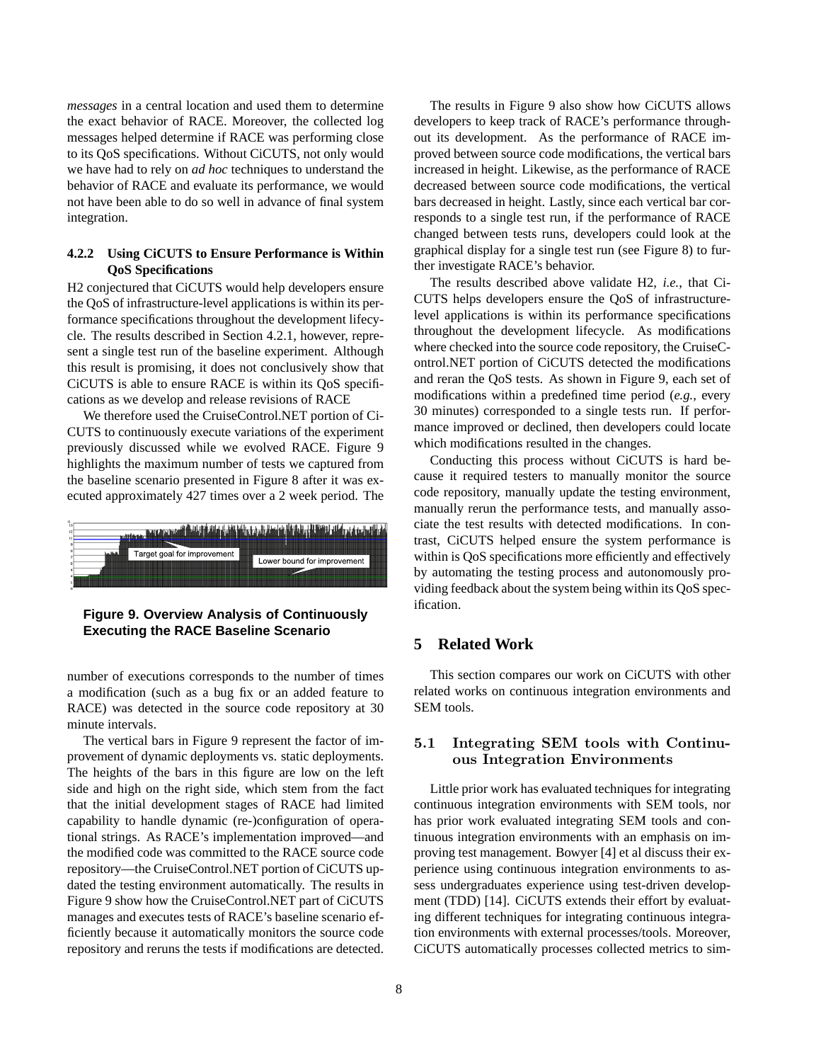*messages* in a central location and used them to determine the exact behavior of RACE. Moreover, the collected log messages helped determine if RACE was performing close to its QoS specifications. Without CiCUTS, not only would we have had to rely on *ad hoc* techniques to understand the behavior of RACE and evaluate its performance, we would not have been able to do so well in advance of final system integration.

#### **4.2.2 Using CiCUTS to Ensure Performance is Within QoS Specifications**

H2 conjectured that CiCUTS would help developers ensure the QoS of infrastructure-level applications is within its performance specifications throughout the development lifecycle. The results described in Section 4.2.1, however, represent a single test run of the baseline experiment. Although this result is promising, it does not conclusively show that CiCUTS is able to ensure RACE is within its QoS specifications as we develop and release revisions of RACE

We therefore used the CruiseControl.NET portion of Ci-CUTS to continuously execute variations of the experiment previously discussed while we evolved RACE. Figure 9 highlights the maximum number of tests we captured from the baseline scenario presented in Figure 8 after it was executed approximately 427 times over a 2 week period. The



**Figure 9. Overview Analysis of Continuously Executing the RACE Baseline Scenario**

number of executions corresponds to the number of times a modification (such as a bug fix or an added feature to RACE) was detected in the source code repository at 30 minute intervals.

The vertical bars in Figure 9 represent the factor of improvement of dynamic deployments vs. static deployments. The heights of the bars in this figure are low on the left side and high on the right side, which stem from the fact that the initial development stages of RACE had limited capability to handle dynamic (re-)configuration of operational strings. As RACE's implementation improved—and the modified code was committed to the RACE source code repository—the CruiseControl.NET portion of CiCUTS updated the testing environment automatically. The results in Figure 9 show how the CruiseControl.NET part of CiCUTS manages and executes tests of RACE's baseline scenario efficiently because it automatically monitors the source code repository and reruns the tests if modifications are detected.

The results in Figure 9 also show how CiCUTS allows developers to keep track of RACE's performance throughout its development. As the performance of RACE improved between source code modifications, the vertical bars increased in height. Likewise, as the performance of RACE decreased between source code modifications, the vertical bars decreased in height. Lastly, since each vertical bar corresponds to a single test run, if the performance of RACE changed between tests runs, developers could look at the graphical display for a single test run (see Figure 8) to further investigate RACE's behavior.

The results described above validate H2, *i.e.*, that Ci-CUTS helps developers ensure the QoS of infrastructurelevel applications is within its performance specifications throughout the development lifecycle. As modifications where checked into the source code repository, the CruiseControl.NET portion of CiCUTS detected the modifications and reran the QoS tests. As shown in Figure 9, each set of modifications within a predefined time period (*e.g.*, every 30 minutes) corresponded to a single tests run. If performance improved or declined, then developers could locate which modifications resulted in the changes.

Conducting this process without CiCUTS is hard because it required testers to manually monitor the source code repository, manually update the testing environment, manually rerun the performance tests, and manually associate the test results with detected modifications. In contrast, CiCUTS helped ensure the system performance is within is QoS specifications more efficiently and effectively by automating the testing process and autonomously providing feedback about the system being within its QoS specification.

## **5 Related Work**

This section compares our work on CiCUTS with other related works on continuous integration environments and SEM tools.

## 5.1 Integrating SEM tools with Continuous Integration Environments

Little prior work has evaluated techniques for integrating continuous integration environments with SEM tools, nor has prior work evaluated integrating SEM tools and continuous integration environments with an emphasis on improving test management. Bowyer [4] et al discuss their experience using continuous integration environments to assess undergraduates experience using test-driven development (TDD) [14]. CiCUTS extends their effort by evaluating different techniques for integrating continuous integration environments with external processes/tools. Moreover, CiCUTS automatically processes collected metrics to sim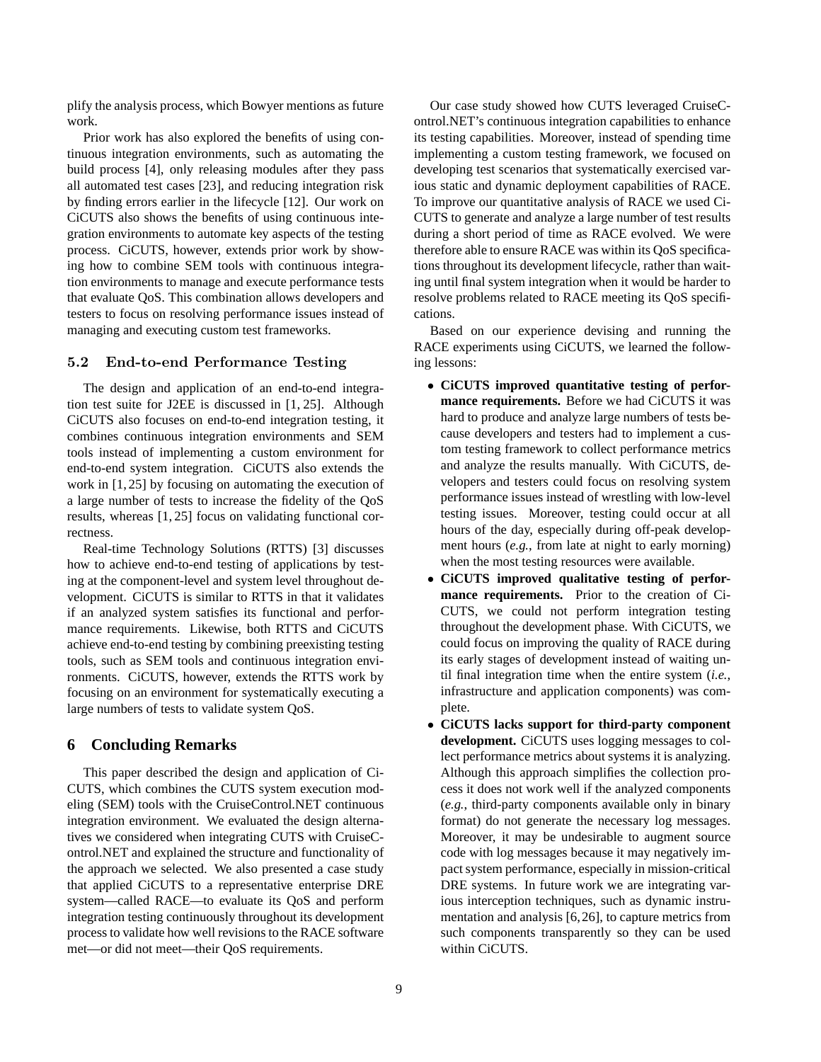plify the analysis process, which Bowyer mentions as future work.

Prior work has also explored the benefits of using continuous integration environments, such as automating the build process [4], only releasing modules after they pass all automated test cases [23], and reducing integration risk by finding errors earlier in the lifecycle [12]. Our work on CiCUTS also shows the benefits of using continuous integration environments to automate key aspects of the testing process. CiCUTS, however, extends prior work by showing how to combine SEM tools with continuous integration environments to manage and execute performance tests that evaluate QoS. This combination allows developers and testers to focus on resolving performance issues instead of managing and executing custom test frameworks.

#### 5.2 End-to-end Performance Testing

The design and application of an end-to-end integration test suite for J2EE is discussed in [1, 25]. Although CiCUTS also focuses on end-to-end integration testing, it combines continuous integration environments and SEM tools instead of implementing a custom environment for end-to-end system integration. CiCUTS also extends the work in [1, 25] by focusing on automating the execution of a large number of tests to increase the fidelity of the QoS results, whereas [1, 25] focus on validating functional correctness.

Real-time Technology Solutions (RTTS) [3] discusses how to achieve end-to-end testing of applications by testing at the component-level and system level throughout development. CiCUTS is similar to RTTS in that it validates if an analyzed system satisfies its functional and performance requirements. Likewise, both RTTS and CiCUTS achieve end-to-end testing by combining preexisting testing tools, such as SEM tools and continuous integration environments. CiCUTS, however, extends the RTTS work by focusing on an environment for systematically executing a large numbers of tests to validate system QoS.

## **6 Concluding Remarks**

This paper described the design and application of Ci-CUTS, which combines the CUTS system execution modeling (SEM) tools with the CruiseControl.NET continuous integration environment. We evaluated the design alternatives we considered when integrating CUTS with CruiseControl.NET and explained the structure and functionality of the approach we selected. We also presented a case study that applied CiCUTS to a representative enterprise DRE system—called RACE—to evaluate its QoS and perform integration testing continuously throughout its development process to validate how well revisions to the RACE software met—or did not meet—their QoS requirements.

Our case study showed how CUTS leveraged CruiseControl.NET's continuous integration capabilities to enhance its testing capabilities. Moreover, instead of spending time implementing a custom testing framework, we focused on developing test scenarios that systematically exercised various static and dynamic deployment capabilities of RACE. To improve our quantitative analysis of RACE we used Ci-CUTS to generate and analyze a large number of test results during a short period of time as RACE evolved. We were therefore able to ensure RACE was within its QoS specifications throughout its development lifecycle, rather than waiting until final system integration when it would be harder to resolve problems related to RACE meeting its QoS specifications.

Based on our experience devising and running the RACE experiments using CiCUTS, we learned the following lessons:

- **CiCUTS improved quantitative testing of performance requirements.** Before we had CiCUTS it was hard to produce and analyze large numbers of tests because developers and testers had to implement a custom testing framework to collect performance metrics and analyze the results manually. With CiCUTS, developers and testers could focus on resolving system performance issues instead of wrestling with low-level testing issues. Moreover, testing could occur at all hours of the day, especially during off-peak development hours (*e.g.*, from late at night to early morning) when the most testing resources were available.
- **CiCUTS improved qualitative testing of performance requirements.** Prior to the creation of Ci-CUTS, we could not perform integration testing throughout the development phase. With CiCUTS, we could focus on improving the quality of RACE during its early stages of development instead of waiting until final integration time when the entire system (*i.e.*, infrastructure and application components) was complete.
- **CiCUTS lacks support for third-party component development.** CiCUTS uses logging messages to collect performance metrics about systems it is analyzing. Although this approach simplifies the collection process it does not work well if the analyzed components (*e.g.*, third-party components available only in binary format) do not generate the necessary log messages. Moreover, it may be undesirable to augment source code with log messages because it may negatively impact system performance, especially in mission-critical DRE systems. In future work we are integrating various interception techniques, such as dynamic instrumentation and analysis [6,26], to capture metrics from such components transparently so they can be used within CiCUTS.